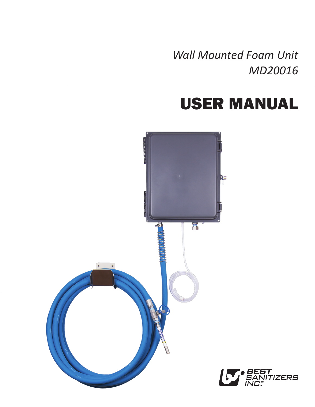*Wall Mounted Foam Unit MD20016*

## USER MANUAL

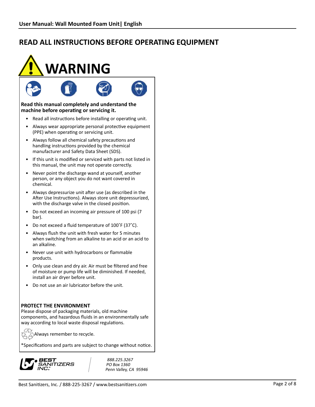# **WARNING**



#### **Read this manual completely and understand the machine before operating or servicing it.**

- Read all instructions before installing or operating unit.
- Always wear appropriate personal protective equipment (PPE) when operating or servicing unit.
- • Always follow all chemical safety precautions and handling instructions provided by the chemical manufacturer and Safety Data Sheet (SDS).
- If this unit is modified or serviced with parts not listed in this manual, the unit may not operate correctly.
- Never point the discharge wand at yourself, another person, or any object you do not want covered in chemical.
- • Always depressurize unit after use (as described in the After Use Instructions). Always store unit depressurized, with the discharge valve in the closed position.
- Do not exceed an incoming air pressure of 100 psi (7) bar).
- Do not exceed a fluid temperature of 100°F (37°C).
- • Always flush the unit with fresh water for 5 minutes when switching from an alkaline to an acid or an acid to an alkaline.
- • Never use unit with hydrocarbons or flammable products.
- Only use clean and dry air. Air must be filtered and free of moisture or pump life will be diminished. If needed, install an air dryer before unit.
- • Do not use an air lubricator before the unit.

#### **PROTECT THE ENVIRONMENT**

Please dispose of packaging materials, old machine components, and hazardous fluids in an environmentally safe way according to local waste disposal regulations.

Always remember to recycle.

\*Specifications and parts are subject to change without notice.



888.225.3267 PO Box 1360 Penn Valley, CA 95946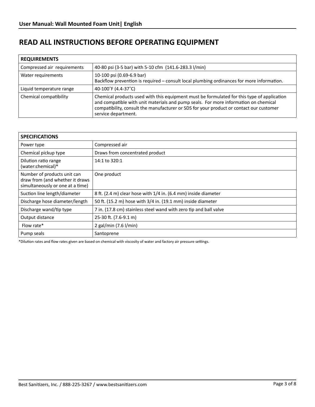| <b>REQUIREMENTS</b>         |                                                                                                                                                                                                                                                                                                     |  |
|-----------------------------|-----------------------------------------------------------------------------------------------------------------------------------------------------------------------------------------------------------------------------------------------------------------------------------------------------|--|
| Compressed air requirements | 40-80 psi (3-5 bar) with 5-10 cfm (141.6-283.3 l/min)                                                                                                                                                                                                                                               |  |
| Water requirements          | 10-100 psi (0.69-6.9 bar)<br>Backflow prevention is required – consult local plumbing ordinances for more information.                                                                                                                                                                              |  |
| Liquid temperature range    | 40-100°F (4.4-37°C)                                                                                                                                                                                                                                                                                 |  |
| Chemical compatibility      | Chemical products used with this equipment must be formulated for this type of application<br>and compatible with unit materials and pump seals. For more information on chemical<br>compatibility, consult the manufacturer or SDS for your product or contact our customer<br>service department. |  |

| <b>SPECIFICATIONS</b>                                                                              |                                                                   |  |
|----------------------------------------------------------------------------------------------------|-------------------------------------------------------------------|--|
| Power type                                                                                         | Compressed air                                                    |  |
| Chemical pickup type                                                                               | Draws from concentrated product                                   |  |
| Dilution ratio range<br>(water:chemical)*                                                          | 14:1 to 320:1                                                     |  |
| Number of products unit can<br>draw from (and whether it draws<br>simultaneously or one at a time) | One product                                                       |  |
| Suction line length/diameter                                                                       | 8 ft. (2.4 m) clear hose with 1/4 in. (6.4 mm) inside diameter    |  |
| Discharge hose diameter/length                                                                     | 50 ft. (15.2 m) hose with 3/4 in. (19.1 mm) inside diameter       |  |
| Discharge wand/tip type                                                                            | 7 in. (17.8 cm) stainless steel wand with zero tip and ball valve |  |
| Output distance                                                                                    | 25-30 ft. (7.6-9.1 m)                                             |  |
| Flow rate*                                                                                         | 2 gal/min $(7.6 \text{ I/min})$                                   |  |
| Pump seals                                                                                         | Santoprene                                                        |  |

\*Dilution rates and flow rates given are based on chemical with viscosity of water and factory air pressure settings.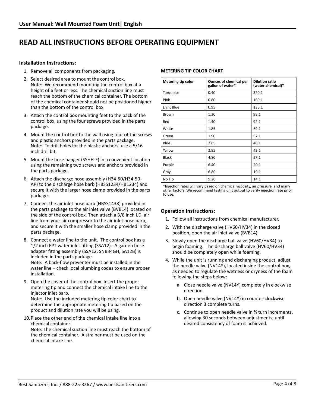#### **Installation Instructions:**

- 1. Remove all components from packaging.
- 2. Select desired area to mount the control box. Note: We recommend mounting the control box at a height of 6 feet or less. The chemical suction line must reach the bottom of the chemical container. The bottom of the chemical container should not be positioned higher than the bottom of the control box.
- 3. Attach the control box mounting feet to the back of the control box, using the four screws provided in the parts package.
- 4. Mount the control box to the wall using four of the screws and plastic anchors provided in the parts package. Note: To drill holes for the plastic anchors, use a 5/16 inch drill bit.
- 5. Mount the hose hanger (SSHH-F) in a convenient location using the remaining two screws and anchors provided in the parts package.
- 6. Attach the discharge hose assembly (H34-50/H34-50- AP) to the discharge hose barb (HBSS1234/HB1234) and secure it with the larger hose clamp provided in the parts package.
- 7. Connect the air inlet hose barb (HBSS1438) provided in the parts package to the air inlet valve (BVB14) located on the side of the control box. Then attach a 3/8 inch I.D. air line from your air compressor to the air inlet hose barb, and secure it with the smaller hose clamp provided in the parts package.
- 8. Connect a water line to the unit. The control box has a 1/2 inch FPT water inlet fitting (SSA12). A garden hose adapter fitting assembly (SSA12, SNB34GH, SA12B) is included in the parts package. Note: A back-flow preventer must be installed in the water line – check local plumbing codes to ensure proper installation.
- 9. Open the cover of the control box. Insert the proper metering tip and connect the chemical intake line to the injector inlet barb. Note: Use the included metering tip color chart to determine the appropriate metering tip based on the product and dilution rate you will be using.
- 10. Place the other end of the chemical intake line into a chemical container. Note: The chemical suction line must reach the bottom of the chemical container. A strainer must be used on the chemical intake line.

#### **METERING TIP COLOR CHART**

| Metering tip color | <b>Ounces of chemical per</b><br>gallon of water* | <b>Dilution ratio</b><br>(water:chemical)* |
|--------------------|---------------------------------------------------|--------------------------------------------|
| Turquoise          | 0.40                                              | 320:1                                      |
| Pink               | 0.80                                              | 160:1                                      |
| Light Blue         | 0.95                                              | 135:1                                      |
| <b>Brown</b>       | 1.30                                              | 98:1                                       |
| Red                | 1.40                                              | 92:1                                       |
| White              | 1.85                                              | 69:1                                       |
| Green              | 1.90                                              | 67:1                                       |
| Blue               | 2.65                                              | 48:1                                       |
| Yellow             | 2.95                                              | 43:1                                       |
| <b>Black</b>       | 4.80                                              | 27:1                                       |
| Purple             | 6.40                                              | 20:1                                       |
| Gray               | 6.80                                              | 19:1                                       |
| No Tip             | 9.20                                              | 14:1                                       |

\*Injection rates will vary based on chemical viscosity, air pressure, and many other factors. We recommend testing unit output to verify injection rate prior to use.

#### **Operation Instructions:**

- 1. Follow all instructions from chemical manufacturer.
- 2. With the discharge valve (HV60/HV34) in the closed position, open the air inlet valve (BVB14).
- 3. Slowly open the discharge ball valve (HV60/HV34) to begin foaming. The discharge ball valve (HV60/HV34) should be completely open while foaming.
- 4. While the unit is running and discharging product, adjust the needle valve (NV14Y), located inside the control box, as needed to regulate the wetness or dryness of the foam following the steps below:
	- a. Close needle valve (NV14Y) completely in clockwise direction.
	- b. Open needle valve (NV14Y) in counter-clockwise direction 3 complete turns.
	- c. Continue to open needle valve in  $\frac{1}{4}$  turn increments, allowing 30 seconds between adjustments, until desired consistency of foam is achieved.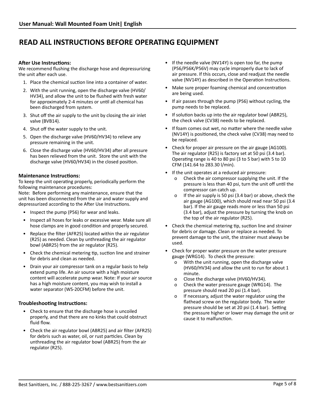#### **After Use Instructions:**

We recommend flushing the discharge hose and depressurizing the unit after each use.

- 1. Place the chemical suction line into a container of water.
- 2. With the unit running, open the discharge valve (HV60/ HV34), and allow the unit to be flushed with fresh water for approximately 2-4 minutes or until all chemical has been discharged from system.
- 3. Shut off the air supply to the unit by closing the air inlet valve (BVB14).
- 4. Shut off the water supply to the unit.
- 5. Open the discharge valve (HV60/HV34) to relieve any pressure remaining in the unit.
- 6. Close the discharge valve (HV60/HV34) after all pressure has been relieved from the unit. Store the unit with the discharge valve (HV60/HV34) in the closed position.

#### **Maintenance Instructions:**

To keep the unit operating properly, periodically perform the following maintenance procedures:

Note: Before performing any maintenance, ensure that the unit has been disconnected from the air and water supply and depressurized according to the After Use Instructions.

- • Inspect the pump (P56) for wear and leaks.
- Inspect all hoses for leaks or excessive wear. Make sure all hose clamps are in good condition and properly secured.
- Replace the filter (AFR25) located within the air regulator (R25) as needed. Clean by unthreading the air regulator bowl (ABR25) from the air regulator (R25).
- Check the chemical metering tip, suction line and strainer for debris and clean as needed.
- Drain your air compressor tank on a regular basis to help extend pump life. An air source with a high moisture content will accelerate pump wear. Note: If your air source has a high moisture content, you may wish to install a water separator (WS-20CFM) before the unit.

#### **Troubleshooting Instructions:**

- Check to ensure that the discharge hose is uncoiled properly, and that there are no kinks that could obstruct fluid flow.
- Check the air regulator bowl (ABR25) and air filter (AFR25) for debris such as water, oil, or rust particles. Clean by unthreading the air regulator bowl (ABR25) from the air regulator (R25).
- If the needle valve (NV14Y) is open too far, the pump (P56/P56K/P56V) may cycle improperly due to lack of air pressure. If this occurs, close and readjust the needle valve (NV14Y) as described in the Operation Instructions.
- Make sure proper foaming chemical and concentration are being used.
- • If air passes through the pump (P56) without cycling, the pump needs to be replaced.
- If solution backs up into the air regulator bowl (ABR25), the check valve (CV38) needs to be replaced.
- If foam comes out wet, no matter where the needle valve (NV14Y) is positioned, the check valve (CV38) may need to be replaced.
- Check for proper air pressure on the air gauge (AG100). The air regulator (R25) is factory set at 50 psi (3.4 bar). Operating range is 40 to 80 psi (3 to 5 bar) with 5 to 10 CFM (141.64 to 283.30 l/min).
	- If the unit operates at a reduced air pressure: o Check the air compressor supplying the unit. If the pressure is less than 40 psi, turn the unit off until the compressor can catch up.
		- o If the air supply is 50 psi (3.4 bar) or above, check the air gauge (AG100), which should read near 50 psi (3.4 bar). If the air gauge reads more or less than 50 psi (3.4 bar), adjust the pressure by turning the knob on the top of the air regulator (R25).
- Check the chemical metering tip, suction line and strainer for debris or damage. Clean or replace as needed. To prevent damage to the unit, the strainer must always be used.
- Check for proper water pressure on the water pressure gauge (WRG14). To check the pressure:
	- o With the unit running, open the discharge valve (HV60/HV34) and allow the unit to run for about 1 minute.
	- o Close the discharge valve (HV60/HV34).
	- o Check the water pressure gauge (WRG14). The pressure should read 20 psi (1.4 bar).
	- o If necessary, adjust the water regulator using the flathead screw on the regulator body. The water pressure should be set at 20 psi (1.4 bar). Setting the pressure higher or lower may damage the unit or cause it to malfunction.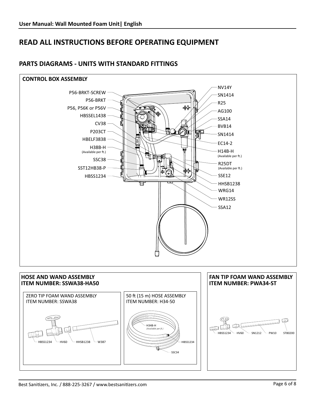

#### **PARTS DIAGRAMS - UNITS WITH STANDARD FITTINGS**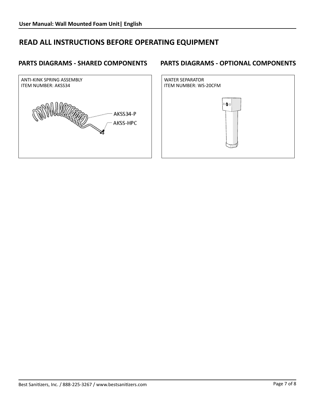## **PARTS DIAGRAMS - SHARED COMPONENTS**



## **PARTS DIAGRAMS - OPTIONAL COMPONENTS**